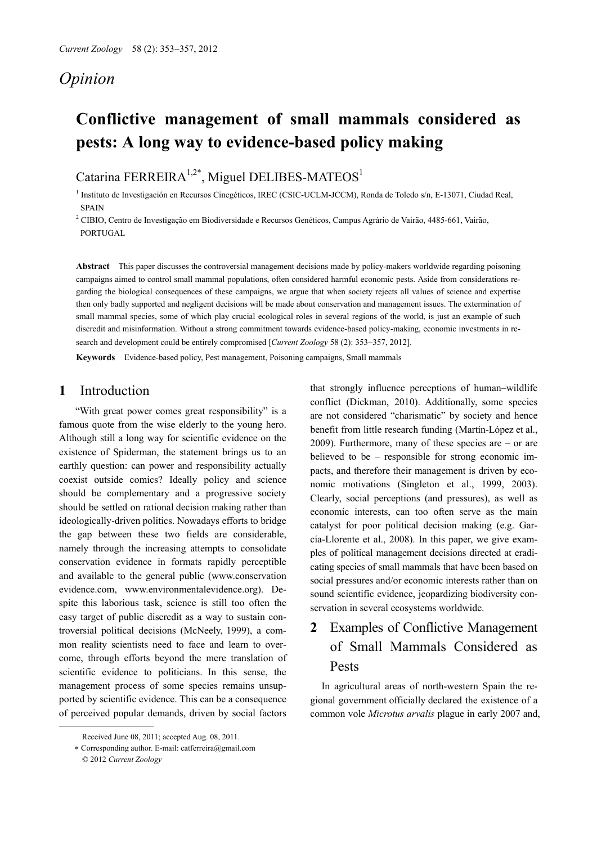## *Opinion*

# **Conflictive management of small mammals considered as pests: A long way to evidence-based policy making**

Catarina FERREIRA<sup>1,2\*</sup>, Miguel DELIBES-MATEOS<sup>1</sup>

1 Instituto de Investigación en Recursos Cinegéticos, IREC (CSIC-UCLM-JCCM), Ronda de Toledo s/n, E-13071, Ciudad Real, **SPAIN** 

2 CIBIO, Centro de Investigação em Biodiversidade e Recursos Genéticos, Campus Agrário de Vairão, 4485-661, Vairão, PORTUGAL

**Abstract** This paper discusses the controversial management decisions made by policy-makers worldwide regarding poisoning campaigns aimed to control small mammal populations, often considered harmful economic pests. Aside from considerations regarding the biological consequences of these campaigns, we argue that when society rejects all values of science and expertise then only badly supported and negligent decisions will be made about conservation and management issues. The extermination of small mammal species, some of which play crucial ecological roles in several regions of the world, is just an example of such discredit and misinformation. Without a strong commitment towards evidence-based policy-making, economic investments in research and development could be entirely compromised [*Current Zoology* 58 (2): 353-357, 2012].

**Keywords** Evidence-based policy, Pest management, Poisoning campaigns, Small mammals

#### **1** Introduction

 "With great power comes great responsibility" is a famous quote from the wise elderly to the young hero. Although still a long way for scientific evidence on the existence of Spiderman, the statement brings us to an earthly question: can power and responsibility actually coexist outside comics? Ideally policy and science should be complementary and a progressive society should be settled on rational decision making rather than ideologically-driven politics. Nowadays efforts to bridge the gap between these two fields are considerable, namely through the increasing attempts to consolidate conservation evidence in formats rapidly perceptible and available to the general public (www.conservation evidence.com, www.environmentalevidence.org). Despite this laborious task, science is still too often the easy target of public discredit as a way to sustain controversial political decisions (McNeely, 1999), a common reality scientists need to face and learn to overcome, through efforts beyond the mere translation of scientific evidence to politicians. In this sense, the management process of some species remains unsupported by scientific evidence. This can be a consequence of perceived popular demands, driven by social factors

 $\overline{a}$ 

that strongly influence perceptions of human–wildlife conflict (Dickman, 2010). Additionally, some species are not considered "charismatic" by society and hence benefit from little research funding (Martín-López et al., 2009). Furthermore, many of these species are – or are believed to be – responsible for strong economic impacts, and therefore their management is driven by economic motivations (Singleton et al., 1999, 2003). Clearly, social perceptions (and pressures), as well as economic interests, can too often serve as the main catalyst for poor political decision making (e.g. García-Llorente et al., 2008). In this paper, we give examples of political management decisions directed at eradicating species of small mammals that have been based on social pressures and/or economic interests rather than on sound scientific evidence, jeopardizing biodiversity conservation in several ecosystems worldwide.

# **2** Examples of Conflictive Management of Small Mammals Considered as Pests

In agricultural areas of north-western Spain the regional government officially declared the existence of a common vole *Microtus arvalis* plague in early 2007 and,

Received June 08, 2011; accepted Aug. 08, 2011.

Corresponding author. E-mail: catferreira@gmail.com

<sup>© 2012</sup> *Current Zoology*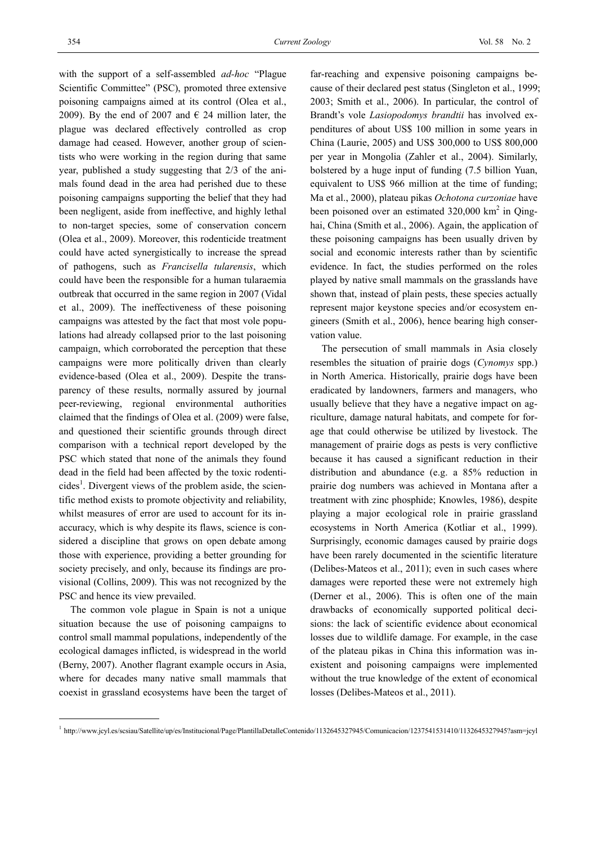with the support of a self-assembled *ad-hoc* "Plague Scientific Committee" (PSC), promoted three extensive poisoning campaigns aimed at its control (Olea et al., 2009). By the end of 2007 and  $\in$  24 million later, the plague was declared effectively controlled as crop damage had ceased. However, another group of scientists who were working in the region during that same year, published a study suggesting that 2/3 of the animals found dead in the area had perished due to these poisoning campaigns supporting the belief that they had been negligent, aside from ineffective, and highly lethal to non-target species, some of conservation concern (Olea et al., 2009). Moreover, this rodenticide treatment could have acted synergistically to increase the spread of pathogens, such as *Francisella tularensis*, which could have been the responsible for a human tularaemia outbreak that occurred in the same region in 2007 (Vidal et al., 2009). The ineffectiveness of these poisoning campaigns was attested by the fact that most vole populations had already collapsed prior to the last poisoning campaign, which corroborated the perception that these campaigns were more politically driven than clearly evidence-based (Olea et al., 2009). Despite the transparency of these results, normally assured by journal peer-reviewing, regional environmental authorities claimed that the findings of Olea et al. (2009) were false, and questioned their scientific grounds through direct comparison with a technical report developed by the PSC which stated that none of the animals they found dead in the field had been affected by the toxic rodenticides<sup>1</sup>. Divergent views of the problem aside, the scientific method exists to promote objectivity and reliability, whilst measures of error are used to account for its inaccuracy, which is why despite its flaws, science is considered a discipline that grows on open debate among those with experience, providing a better grounding for society precisely, and only, because its findings are provisional (Collins, 2009). This was not recognized by the PSC and hence its view prevailed.

The common vole plague in Spain is not a unique situation because the use of poisoning campaigns to control small mammal populations, independently of the ecological damages inflicted, is widespread in the world (Berny, 2007). Another flagrant example occurs in Asia, where for decades many native small mammals that coexist in grassland ecosystems have been the target of

-

far-reaching and expensive poisoning campaigns because of their declared pest status (Singleton et al., 1999; 2003; Smith et al., 2006). In particular, the control of Brandt's vole *Lasiopodomys brandtii* has involved expenditures of about US\$ 100 million in some years in China (Laurie, 2005) and US\$ 300,000 to US\$ 800,000 per year in Mongolia (Zahler et al., 2004). Similarly, bolstered by a huge input of funding (7.5 billion Yuan, equivalent to US\$ 966 million at the time of funding; Ma et al., 2000), plateau pikas *Ochotona curzoniae* have been poisoned over an estimated  $320,000 \text{ km}^2$  in Qinghai, China (Smith et al., 2006). Again, the application of these poisoning campaigns has been usually driven by social and economic interests rather than by scientific evidence. In fact, the studies performed on the roles played by native small mammals on the grasslands have shown that, instead of plain pests, these species actually represent major keystone species and/or ecosystem engineers (Smith et al., 2006), hence bearing high conservation value.

The persecution of small mammals in Asia closely resembles the situation of prairie dogs (*Cynomys* spp.) in North America. Historically, prairie dogs have been eradicated by landowners, farmers and managers, who usually believe that they have a negative impact on agriculture, damage natural habitats, and compete for forage that could otherwise be utilized by livestock. The management of prairie dogs as pests is very conflictive because it has caused a significant reduction in their distribution and abundance (e.g. a 85% reduction in prairie dog numbers was achieved in Montana after a treatment with zinc phosphide; Knowles, 1986), despite playing a major ecological role in prairie grassland ecosystems in North America (Kotliar et al., 1999). Surprisingly, economic damages caused by prairie dogs have been rarely documented in the scientific literature (Delibes-Mateos et al., 2011); even in such cases where damages were reported these were not extremely high (Derner et al., 2006). This is often one of the main drawbacks of economically supported political decisions: the lack of scientific evidence about economical losses due to wildlife damage. For example, in the case of the plateau pikas in China this information was inexistent and poisoning campaigns were implemented without the true knowledge of the extent of economical losses (Delibes-Mateos et al., 2011).

http://www.jcyl.es/scsiau/Satellite/up/es/Institucional/Page/PlantillaDetalleContenido/1132645327945/Comunicacion/1237541531410/1132645327945?asm=jcyl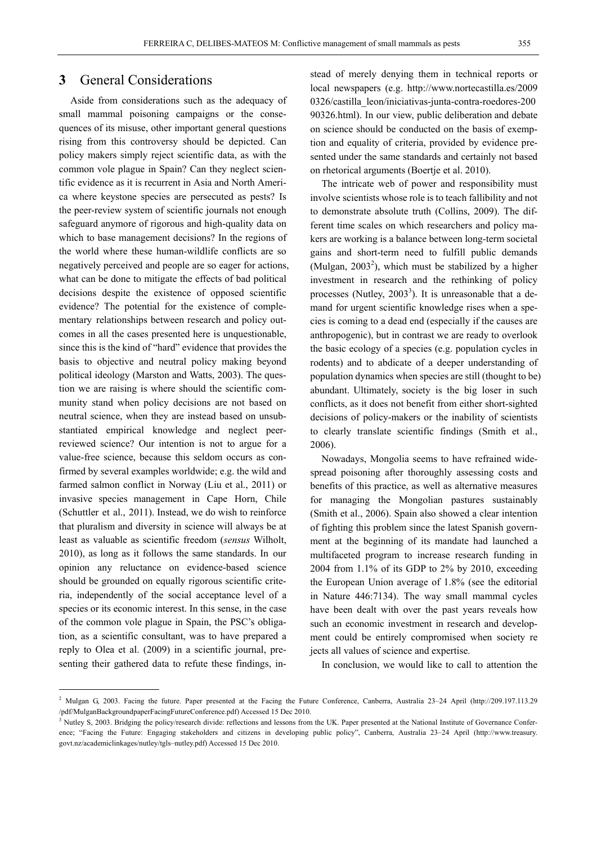### **3** General Considerations

Aside from considerations such as the adequacy of small mammal poisoning campaigns or the consequences of its misuse, other important general questions rising from this controversy should be depicted. Can policy makers simply reject scientific data, as with the common vole plague in Spain? Can they neglect scientific evidence as it is recurrent in Asia and North America where keystone species are persecuted as pests? Is the peer-review system of scientific journals not enough safeguard anymore of rigorous and high-quality data on which to base management decisions? In the regions of the world where these human-wildlife conflicts are so negatively perceived and people are so eager for actions, what can be done to mitigate the effects of bad political decisions despite the existence of opposed scientific evidence? The potential for the existence of complementary relationships between research and policy outcomes in all the cases presented here is unquestionable, since this is the kind of "hard" evidence that provides the basis to objective and neutral policy making beyond political ideology (Marston and Watts, 2003). The question we are raising is where should the scientific community stand when policy decisions are not based on neutral science, when they are instead based on unsubstantiated empirical knowledge and neglect peerreviewed science? Our intention is not to argue for a value-free science, because this seldom occurs as confirmed by several examples worldwide; e.g. the wild and farmed salmon conflict in Norway (Liu et al., 2011) or invasive species management in Cape Horn, Chile (Schuttler et al., 2011). Instead, we do wish to reinforce that pluralism and diversity in science will always be at least as valuable as scientific freedom (*sensus* Wilholt, 2010), as long as it follows the same standards. In our opinion any reluctance on evidence-based science should be grounded on equally rigorous scientific criteria, independently of the social acceptance level of a species or its economic interest. In this sense, in the case of the common vole plague in Spain, the PSC's obligation, as a scientific consultant, was to have prepared a reply to Olea et al. (2009) in a scientific journal, presenting their gathered data to refute these findings, in-

-

stead of merely denying them in technical reports or local newspapers (e.g. http://www.nortecastilla.es/2009 0326/castilla\_leon/iniciativas-junta-contra-roedores-200 90326.html). In our view, public deliberation and debate on science should be conducted on the basis of exemption and equality of criteria, provided by evidence presented under the same standards and certainly not based on rhetorical arguments (Boertje et al. 2010).

The intricate web of power and responsibility must involve scientists whose role is to teach fallibility and not to demonstrate absolute truth (Collins, 2009). The different time scales on which researchers and policy makers are working is a balance between long-term societal gains and short-term need to fulfill public demands (Mulgan,  $2003^2$ ), which must be stabilized by a higher investment in research and the rethinking of policy processes (Nutley,  $2003<sup>3</sup>$ ). It is unreasonable that a demand for urgent scientific knowledge rises when a species is coming to a dead end (especially if the causes are anthropogenic), but in contrast we are ready to overlook the basic ecology of a species (e.g. population cycles in rodents) and to abdicate of a deeper understanding of population dynamics when species are still (thought to be) abundant. Ultimately, society is the big loser in such conflicts, as it does not benefit from either short-sighted decisions of policy-makers or the inability of scientists to clearly translate scientific findings (Smith et al., 2006).

Nowadays, Mongolia seems to have refrained widespread poisoning after thoroughly assessing costs and benefits of this practice, as well as alternative measures for managing the Mongolian pastures sustainably (Smith et al., 2006). Spain also showed a clear intention of fighting this problem since the latest Spanish government at the beginning of its mandate had launched a multifaceted program to increase research funding in 2004 from 1.1% of its GDP to 2% by 2010, exceeding the European Union average of 1.8% (see the editorial in Nature 446:7134). The way small mammal cycles have been dealt with over the past years reveals how such an economic investment in research and development could be entirely compromised when society re jects all values of science and expertise.

In conclusion, we would like to call to attention the

<sup>&</sup>lt;sup>2</sup> Mulgan G, 2003. Facing the future. Paper presented at the Facing the Future Conference, Canberra, Australia 23–24 April (http://209.197.113.29 /pdf/MulganBackgroundpaperFacingFutureConference.pdf) Accessed 15 Dec 2010.

<sup>&</sup>lt;sup>3</sup> Nutley S, 2003. Bridging the policy/research divide: reflections and lessons from the UK. Paper presented at the National Institute of Governance Conference; "Facing the Future: Engaging stakeholders and citizens in developing public policy", Canberra, Australia 23–24 April (http://www.treasury. govt.nz/academiclinkages/nutley/tgls–nutley.pdf) Accessed 15 Dec 2010.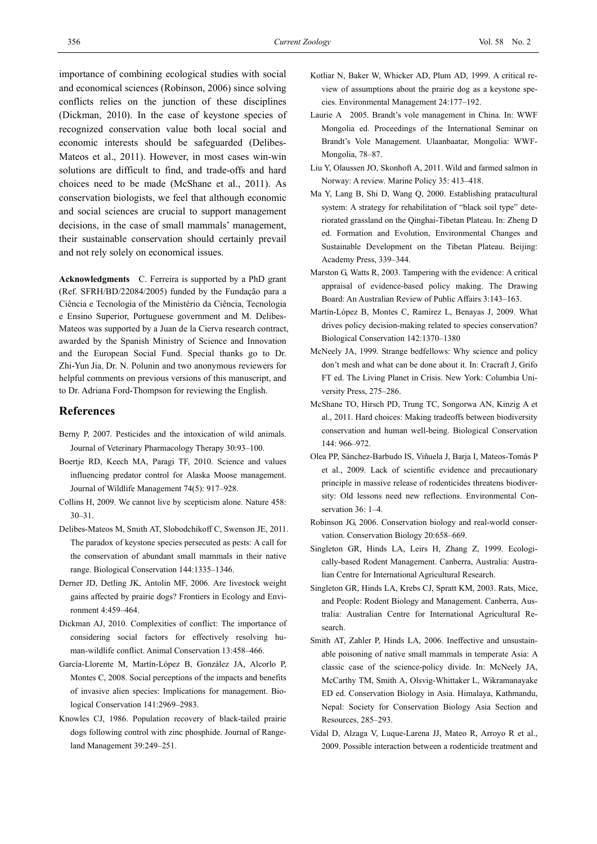importance of combining ecological studies with social and economical sciences (Robinson, 2006) since solving conflicts relies on the junction of these disciplines (Dickman, 2010). In the case of keystone species of recognized conservation value both local social and economic interests should be safeguarded (Delibes-Mateos et al., 2011). However, in most cases win-win solutions are difficult to find, and trade-offs and hard choices need to be made (McShane et al., 2011). As conservation biologists, we feel that although economic and social sciences are crucial to support management decisions, in the case of small mammals' management, their sustainable conservation should certainly prevail and not rely solely on economical issues.

**Acknowledgments** C. Ferreira is supported by a PhD grant (Ref. SFRH/BD/22084/2005) funded by the Fundação para a Ciência e Tecnologia of the Ministério da Ciência, Tecnologia e Ensino Superior, Portuguese government and M. Delibes-Mateos was supported by a Juan de la Cierva research contract, awarded by the Spanish Ministry of Science and Innovation and the European Social Fund. Special thanks go to Dr. Zhi-Yun Jia, Dr. N. Polunin and two anonymous reviewers for helpful comments on previous versions of this manuscript, and to Dr. Adriana Ford-Thompson for reviewing the English.

#### **References**

- Berny P, 2007. Pesticides and the intoxication of wild animals. Journal of Veterinary Pharmacology Therapy 30:93–100.
- Boertje RD, Keech MA, Paragi TF, 2010. Science and values influencing predator control for Alaska Moose management. Journal of Wildlife Management 74(5): 917–928.
- Collins H, 2009. We cannot live by scepticism alone. Nature 458: 30–31.
- Delibes-Mateos M, Smith AT, Slobodchikoff C, Swenson JE, 2011. The paradox of keystone species persecuted as pests: A call for the conservation of abundant small mammals in their native range. Biological Conservation 144:1335–1346.
- Derner JD, Detling JK, Antolin MF, 2006. Are livestock weight gains affected by prairie dogs? Frontiers in Ecology and Environment 4:459–464.
- Dickman AJ, 2010. Complexities of conflict: The importance of considering social factors for effectively resolving human-wildlife conflict. Animal Conservation 13:458–466.
- García-Llorente M, Martín-López B, González JA, Alcorlo P, Montes C, 2008. Social perceptions of the impacts and benefits of invasive alien species: Implications for management. Biological Conservation 141:2969–2983.
- Knowles CJ, 1986. Population recovery of black-tailed prairie dogs following control with zinc phosphide. Journal of Rangeland Management 39:249–251.
- Kotliar N, Baker W, Whicker AD, Plum AD, 1999. A critical review of assumptions about the prairie dog as a keystone species. Environmental Management 24:177–192.
- Laurie A 2005. Brandt's vole management in China. In: WWF Mongolia ed. Proceedings of the International Seminar on Brandt's Vole Management. Ulaanbaatar, Mongolia: WWF-Mongolia, 78–87.
- Liu Y, Olaussen JO, Skonhoft A, 2011. Wild and farmed salmon in Norway: A review. Marine Policy 35: 413–418.
- Ma Y, Lang B, Shi D, Wang Q, 2000. Establishing pratacultural system: A strategy for rehabilitation of "black soil type" deteriorated grassland on the Qinghai-Tibetan Plateau. In: Zheng D ed. Formation and Evolution, Environmental Changes and Sustainable Development on the Tibetan Plateau. Beijing: Academy Press, 339–344.
- Marston G, Watts R, 2003. Tampering with the evidence: A critical appraisal of evidence-based policy making. The Drawing Board: An Australian Review of Public Affairs 3:143–163.
- Martín-López B, Montes C, Ramírez L, Benayas J, 2009. What drives policy decision-making related to species conservation? Biological Conservation 142:1370–1380
- McNeely JA, 1999. Strange bedfellows: Why science and policy don't mesh and what can be done about it. In: Cracraft J, Grifo FT ed. The Living Planet in Crisis. New York: Columbia University Press, 275–286.
- McShane TO, Hirsch PD, Trung TC, Songorwa AN, Kinzig A et al., 2011. Hard choices: Making tradeoffs between biodiversity conservation and human well-being. Biological Conservation 144: 966–972.
- Olea PP, Sánchez-Barbudo IS, Viñuela J, Barja I, Mateos-Tomás P et al., 2009. Lack of scientific evidence and precautionary principle in massive release of rodenticides threatens biodiversity: Old lessons need new reflections. Environmental Conservation 36: 1–4.
- Robinson JG, 2006. Conservation biology and real-world conservation. Conservation Biology 20:658–669.
- Singleton GR, Hinds LA, Leirs H, Zhang Z, 1999. Ecologically-based Rodent Management. Canberra, Australia: Australian Centre for International Agricultural Research.
- Singleton GR, Hinds LA, Krebs CJ, Spratt KM, 2003. Rats, Mice, and People: Rodent Biology and Management. Canberra, Australia: Australian Centre for International Agricultural Research.
- Smith AT, Zahler P, Hinds LA, 2006. Ineffective and unsustainable poisoning of native small mammals in temperate Asia: A classic case of the science-policy divide. In: McNeely JA, McCarthy TM, Smith A, Olsvig-Whittaker L, Wikramanayake ED ed. Conservation Biology in Asia. Himalaya, Kathmandu, Nepal: Society for Conservation Biology Asia Section and Resources, 285–293.
- Vidal D, Alzaga V, Luque-Larena JJ, Mateo R, Arroyo R et al., 2009. Possible interaction between a rodenticide treatment and